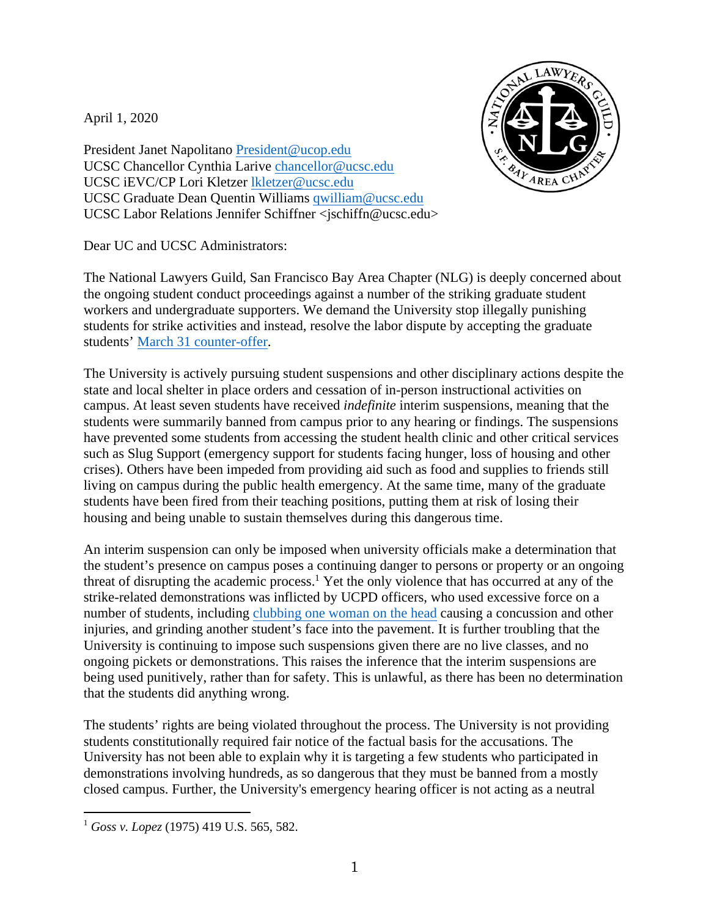April 1, 2020



President Janet Napolitano President@ucop.edu UCSC Chancellor Cynthia Larive chancellor@ucsc.edu UCSC iEVC/CP Lori Kletzer lkletzer@ucsc.edu UCSC Graduate Dean Quentin Williams qwilliam@ucsc.edu UCSC Labor Relations Jennifer Schiffner <jschiffn@ucsc.edu>

Dear UC and UCSC Administrators:

The National Lawyers Guild, San Francisco Bay Area Chapter (NLG) is deeply concerned about the ongoing student conduct proceedings against a number of the striking graduate student workers and undergraduate supporters. We demand the University stop illegally punishing students for strike activities and instead, resolve the labor dispute by accepting the graduate students' [March 31 counter-offer](https://payusmoreucsc.com/counter-offer-to-latest-deadline-last-chance-agreement/).

The University is actively pursuing student suspensions and other disciplinary actions despite the state and local shelter in place orders and cessation of in-person instructional activities on campus. At least seven students have received *indefinite* interim suspensions, meaning that the students were summarily banned from campus prior to any hearing or findings. The suspensions have prevented some students from accessing the student health clinic and other critical services such as Slug Support (emergency support for students facing hunger, loss of housing and other crises). Others have been impeded from providing aid such as food and supplies to friends still living on campus during the public health emergency. At the same time, many of the graduate students have been fired from their teaching positions, putting them at risk of losing their housing and being unable to sustain themselves during this dangerous time.

An interim suspension can only be imposed when university officials make a determination that the student's presence on campus poses a continuing danger to persons or property or an ongoing threat of disrupting the academic process.<sup>1</sup> Yet the only violence that has occurred at any of the strike-related demonstrations was inflicted by UCPD officers, who used excessive force on a number of students, including [clubbing one woman on the head](https://www.sfbla.com/wp-content/uploads/2020/04/Shirazi_University_Statement.pdf) causing a concussion and other injuries, and grinding another student's face into the pavement. It is further troubling that the University is continuing to impose such suspensions given there are no live classes, and no ongoing pickets or demonstrations. This raises the inference that the interim suspensions are being used punitively, rather than for safety. This is unlawful, as there has been no determination that the students did anything wrong.

The students' rights are being violated throughout the process. The University is not providing students constitutionally required fair notice of the factual basis for the accusations. The University has not been able to explain why it is targeting a few students who participated in demonstrations involving hundreds, as so dangerous that they must be banned from a mostly closed campus. Further, the University's emergency hearing officer is not acting as a neutral

<sup>1</sup> *Goss v. Lopez* (1975) 419 U.S. 565, 582.